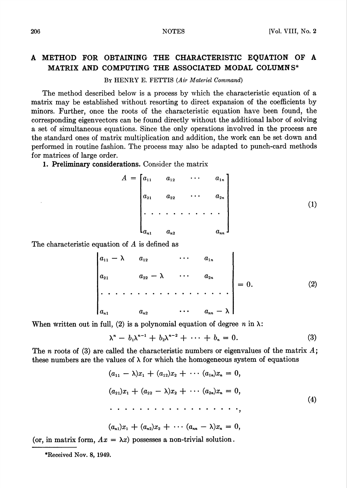## A METHOD FOR OBTAINING THE CHARACTERISTIC EQUATION OF A MATRIX AND COMPUTING THE ASSOCIATED MODAL COLUMNS\*

By HENRY E. FETTIS (Air Materiel Command)

The method described below is a process by which the characteristic equation of a matrix may be established without resorting to direct expansion of the coefficients by minors. Further, once the roots of the characteristic equation have been found, the corresponding eigenvectors can be found directly without the additional labor of solving a set of simultaneous equations. Since the only operations involved in the process are the standard ones of matrix multiplication and addition, the work can be set down and performed in routine fashion. The process may also be adapted to punch-card methods for matrices of large order.

1. Preliminary considerations. Consider the matrix

$$
A = \begin{bmatrix} a_{11} & a_{12} & \cdots & a_{1n} \\ a_{21} & a_{22} & \cdots & a_{2n} \\ \vdots & \vdots & \ddots & \vdots \\ a_{n1} & a_{n2} & \cdots & a_{nn} \end{bmatrix}
$$
 (1)

The characteristic equation of A is defined as

$$
\begin{vmatrix} a_{11} - \lambda & a_{12} & \cdots & a_{1n} \\ a_{21} & a_{22} - \lambda & \cdots & a_{2n} \\ \vdots & \vdots & \ddots & \vdots \\ a_{n1} & a_{n2} & \cdots & a_{nn} - \lambda \end{vmatrix} = 0.
$$
 (2)

When written out in full, (2) is a polynomial equation of degree n in  $\lambda$ :

$$
\lambda^{n} - b_{1}\lambda^{n-1} + b_{2}\lambda^{n-2} + \cdots + b_{n} = 0.
$$
 (3)

The n roots of (3) are called the characteristic numbers or eigenvalues of the matrix  $A$ ; these numbers are the values of  $\lambda$  for which the homogeneous system of equations

(flu - X)^! + (a12)x2 + • • • (am)xn = 0, (a2i)xi + (a22 — \)x2 + • • • (a2")x" = 0, (4)

$$
(a_{n1})x_1 + (a_{n2})x_2 + \cdots (a_{nn} - \lambda)x_n = 0,
$$

(or, in matrix form,  $Ax = \lambda x$ ) possesses a non-trivial solution.

•Received Nov. 8, 1949.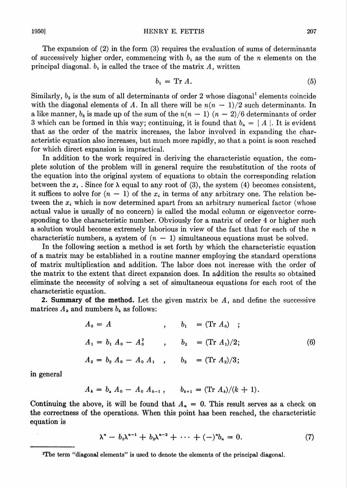The expansion of (2) in the form (3) requires the evaluation of sums of determinants of successively higher order, commencing with  $b_1$  as the sum of the n elements on the principal diagonal.  $b_1$  is called the trace of the matrix A, written

$$
b_1 = \operatorname{Tr} A. \tag{5}
$$

Similarly,  $b_2$  is the sum of all determinants of order 2 whose diagonal<sup>1</sup> elements coincide with the diagonal elements of A. In all there will be  $n(n - 1)/2$  such determinants. In a like manner,  $b_3$  is made up of the sum of the  $n(n - 1)$   $(n - 2)/6$  determinants of order 3 which can be formed in this way; continuing, it is found that  $b_n = |A|$ . It is evident that as the order of the matrix increases, the labor involved in expanding the characteristic equation also increases, but much more rapidly, so that a point is soon reached for which direct expansion is impractical.

In addition to the work required in deriving the characteristic equation, the complete solution of the problem will in general require the resubstitution of the roots of the equation into the original system of equations to obtain the corresponding relation between the  $x_i$ . Since for  $\lambda$  equal to any root of (3), the system (4) becomes consistent, it suffices to solve for  $(n - 1)$  of the  $x_i$  in terms of any arbitrary one. The relation between the  $x_i$  which is now determined apart from an arbitrary numerical factor (whose actual value is usually of no concern) is called the modal column or eigenvector corresponding to the characteristic number. Obviously for a matrix of order 4 or higher such a solution would become extremely laborious in view of the fact that for each of the n characteristic numbers, a system of  $(n - 1)$  simultaneous equations must be solved.

In the following section a method is set forth by which the characteristic equation of a matrix may be established in a routine manner employing the standard operations of matrix multiplication and addition. The labor does not increase with the order of the matrix to the extent that direct expansion does. In addition the results so obtained eliminate the necessity of solving a set of simultaneous equations for each root of the characteristic equation.

2. Summary of the method. Let the given matrix be  $A$ , and define the successive matrices  $A_k$  and numbers  $b_k$  as follows:

$$
A_0 = A, \t b_1 = (\text{Tr } A_0);
$$
  
\n
$$
A_1 = b_1 A_0 - A_0^2, \t b_2 = (\text{Tr } A_1)/2;
$$
  
\n
$$
A_2 = b_2 A_0 - A_0 A_1, \t b_3 = (\text{Tr } A_2)/3;
$$
  
\n(6)

in general

$$
A_k = b_k A_0 - A_0 A_{k-1}, \qquad b_{k+1} = (\text{Tr } A_k)/(k+1).
$$

Continuing the above, it will be found that  $A_n = 0$ . This result serves as a check on the correctness of the operations. When this point has been reached, the characteristic equation is

$$
\lambda^{n} - b_{1}\lambda^{n-1} + b_{2}\lambda^{n-2} + \cdots + (-)^{n}b_{n} = 0.
$$
 (7)

<sup>•</sup>The term "diagonal elements" is used to denote the elements of the principal diagonal.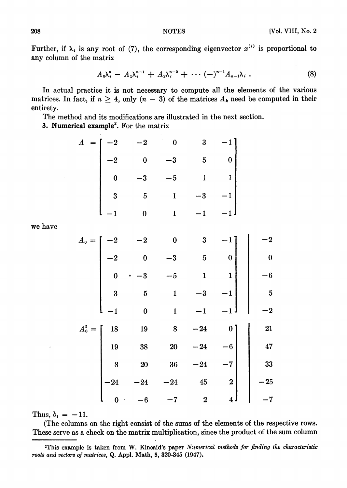Further, if  $\lambda_i$  is any root of (7), the corresponding eigenvector  $x^{(i)}$  is proportional to any column of the matrix

$$
A_0\lambda_i^n - A_1\lambda_i^{n-1} + A_2\lambda_i^{n-2} + \cdots (-)^{n-1}A_{n-1}\lambda_i.
$$
 (8)

In actual practice it is not necessary to compute all the elements of the various matrices. In fact, if  $n \geq 4$ , only  $(n-3)$  of the matrices  $A_k$  need be computed in their entirety.

The method and its modifications are illustrated in the next section.

3. Numerical example<sup>2</sup>. For the matrix

| $A =$     | $\boldsymbol{2}$        | $\boldsymbol{2}$ | $\bf{0}$     | 3                       |                         |                         |
|-----------|-------------------------|------------------|--------------|-------------------------|-------------------------|-------------------------|
|           | $-2$                    | $\bf{0}$         | $-3$         | $\bf{5}$                | $\boldsymbol{0}$        |                         |
|           | $\bf{0}$                | $-3$             | $\cdot$ 5    | $\mathbf{1}$            | $\mathbf{1}$            |                         |
|           | $\overline{3}$          | $\overline{5}$   | $\mathbf{1}$ | $-3$                    | $\mathbf{1}$            |                         |
|           | $\cdot$ 1               | $\boldsymbol{0}$ | $\mathbf{1}$ | $-1$                    | $\mathbf{1}$            |                         |
|           |                         |                  |              |                         |                         |                         |
| $A_0 =$   | -2                      | $\boldsymbol{2}$ | $\bf{0}$     | $\bf{3}$                |                         | $\bf{2}$                |
|           | $-2$                    | $\boldsymbol{0}$ | $-3$         | $\overline{5}$          | $\bf{0}$                | $\boldsymbol{0}$        |
|           | $\bf{0}$                | $\cdot$ 3        | $-5$         | $\mathbf{1}$            | $\mathbf{1}$            | $\cdot 6$               |
|           | $\overline{\mathbf{3}}$ | $\bf{5}$         | $\mathbf{1}$ | $-3$                    | $\cdot$ 1               | $\overline{\mathbf{5}}$ |
|           | $\cdot$ 1               | $\bf{0}$         | $\mathbf{1}$ | $-1$                    | $\cdot$ 1 $\cdot$       | $\cdot$ 2               |
| $A_0^2 =$ | 18                      | 19               | 8            | $-24$                   | 0 <sup>1</sup>          | 21                      |
|           | 19                      | 38               | <b>20</b>    | $-24$                   | $\cdot 6$               | 47                      |
|           | 8                       | 20               | 36           | $-24$                   | $\overline{7}$          | 33                      |
|           | $-24$                   | 24               | $-24$        | 45                      | $\bf{2}$                | $-25$                   |
|           | $\boldsymbol{0}$        | $\bf 6$          | 7            | $\overline{\mathbf{2}}$ | $\overline{\mathbf{4}}$ | 7                       |

Thus,  $b_1 = -11$ .

(The columns on the right consist of the sums of the elements of the respective rows. These serve as a check on the matrix multiplication, since the product of the sum column

we have

<sup>2</sup>This example is taken from W. Kincaid's paper Numerical methods for finding the characteristic roots and vectors of matrices, Q. Appl. Math, 5, 320-345 (1947).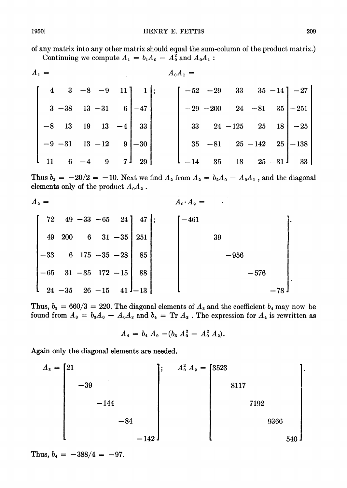of any matrix into any other matrix should equal the sum-column of the product matrix.) Continuing we compute  $A_1 = b_1 A_0 - A_0^2$  and  $A_0 A_1$ :

$$
A_{1} = A_{0}A_{1} = A_{1}A_{0}A_{1} = A_{0}A_{1} = A_{1}A_{0}A_{1} = A_{1}A_{0}A_{1} = A_{1}A_{0}A_{1} = A_{1}A_{0}A_{1} = A_{1}A_{0}A_{1} = A_{1}A_{0}A_{1} = A_{1}A_{0}A_{1} = A_{1}A_{0}A_{1} = A_{1}A_{0}A_{1} = A_{1}A_{0}A_{1} = A_{1}A_{0}A_{1} = A_{1}A_{0}A_{1} = A_{1}A_{0}A_{1} = A_{1}A_{0}A_{1} = A_{1}A_{0}A_{1} = A_{1}A_{0}A_{1} = A_{1}A_{0}A_{1} = A_{1}A_{0}A_{1} = A_{1}A_{0}A_{1} = A_{1}A_{0}A_{1} = A_{1}A_{0}A_{1} = A_{1}A_{0}A_{1} = A_{1}A_{0}A_{1} = A_{1}A_{0}A_{1} = A_{1}A_{0}A_{1} = A_{1}A_{0}A_{1} = A_{1}A_{0}A_{1} = A_{1}A_{0}A_{1} = A_{1}A_{0}A_{1} = A_{1}A_{0}A_{1} = A_{1}A_{0}A_{1} = A_{1}A_{0}A_{1} = A_{1}A_{0}A_{1} = A_{1}A_{0}A_{1} = A_{1}A_{0}A_{1} = A_{1}A_{0}A_{1} = A_{1}A_{0}A_{1} = A_{1}A_{0}A_{1} = A_{1}A_{0}A_{1} = A_{1}A_{0}A_{1} = A_{1}A_{0}A_{1} = A_{1}A_{0}A_{1} = A_{1}A_{0}A_{1} = A_{1}A_{0}A_{1} = A_{1}A_{0}A_{1} = A_{1}A_{0}A_{1} = A_{1}A_{0}A_{1} = A_{1}A_{0}A_{1} = A_{1}A_{0}A_{1} = A_{1}A_{0}A_{1} = A_{1}A_{0}A_{1} = A_{1}A_{0}A_{1} = A_{1}A_{0}A_{1} = A_{1}A_{0}A_{1} = A_{1}A_{0}A_{1} = A_{1}A_{0}
$$

Thus  $b_2 = -20/2 = -10$ . Next we find  $A_2$  from  $A_2 = b_2 A_0 - A_0 A_1$ , and the diagonal elements only of the product  $A_0A_2$  .

$$
A_{2} = A_{0} \cdot A_{2} = A_{0} \cdot A_{2} = A_{0} \cdot A_{2} = A_{0} \cdot A_{2} = A_{0} \cdot A_{2} = A_{0} \cdot A_{2} = A_{0} \cdot A_{2} = A_{0} \cdot A_{2} = A_{0} \cdot A_{2} = A_{0} \cdot A_{2} = A_{0} \cdot A_{2} = A_{0} \cdot A_{2} = A_{0} \cdot A_{2} = A_{0} \cdot A_{2} = A_{0} \cdot A_{2} = A_{0} \cdot A_{2} = A_{0} \cdot A_{2} = A_{0} \cdot A_{2} = A_{0} \cdot A_{2} = A_{0} \cdot A_{2} = A_{0} \cdot A_{2} = A_{0} \cdot A_{2} = A_{0} \cdot A_{2} = A_{0} \cdot A_{2} = A_{0} \cdot A_{2} = A_{0} \cdot A_{2} = A_{0} \cdot A_{2} = A_{0} \cdot A_{2} = A_{0} \cdot A_{2} = A_{0} \cdot A_{2} = A_{0} \cdot A_{2} = A_{0} \cdot A_{2} = A_{0} \cdot A_{2} = A_{0} \cdot A_{2} = A_{0} \cdot A_{2} = A_{0} \cdot A_{2} = A_{0} \cdot A_{2} = A_{0} \cdot A_{2} = A_{0} \cdot A_{2} = A_{0} \cdot A_{2} = A_{0} \cdot A_{2} = A_{0} \cdot A_{2} = A_{0} \cdot A_{2} = A_{0} \cdot A_{2} = A_{0} \cdot A_{2} = A_{0} \cdot A_{2} = A_{0} \cdot A_{2} = A_{0} \cdot A_{2} = A_{0} \cdot A_{2} = A_{0} \cdot A_{2} = A_{0} \cdot A_{2} = A_{0} \cdot A_{2} = A_{0} \cdot A_{2} = A_{0} \cdot A_{2} = A_{0} \cdot A_{2} = A_{0} \cdot A_{2} = A_{0} \cdot A_{2} = A_{0} \cdot A_{2} = A_{0} \cdot A_{2} = A_{0} \cdot A_{2} = A_{0} \cdot A_{2} = A_{0} \cdot A_{2} = A_{0} \cdot A_{2} = A_{0} \cdot A_{2} = A_{0} \cdot A_{2} = A_{0} \cdot A_{2} = A_{0} \cdot A_{2} = A_{0} \cdot A_{2} = A_{0} \cdot
$$

Thus,  $b_3 = 660/3 = 220$ . The diagonal elements of  $A_3$  and the coefficient  $b_4$  may now be found from  $A_3 = b_3A_0 - A_0A_2$  and  $b_4 = \text{Tr } A_3$ . The expression for  $A_4$  is rewritten as

$$
A_4 = b_4 A_0 - (b_3 A_0^2 - A_0^2 A_2).
$$

Again only the diagonal elements are needed.

$$
A_3 = \begin{bmatrix} 21 & & & & \\ 2 & 2 & & & \\ & -39 & & & \\ & -144 & & & \\ & & -84 & & \\ & & & -142 \end{bmatrix}; \quad A_0^2 A_2 = \begin{bmatrix} 3523 & & & & \\ 3523 & & & & \\ & 8117 & & & \\ & & 7192 & & \\ & & & 9366 & \\ & & & & 9366 \end{bmatrix}
$$

Thus,  $b_4 = -388/4 = -97$ .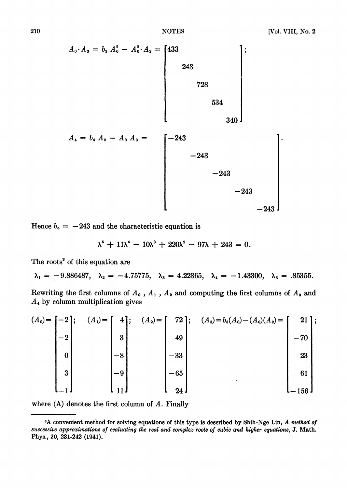$$
A_0 \cdot A_3 = b_3 A_0^2 - A_0^2 \cdot A_2 = \begin{bmatrix} 433 \\ 243 \\ 728 \\ 534 \\ 340 \end{bmatrix};
$$
  
728  
534  
340  
341  
340  
-243  
-243  
-243  
-243  
-243

Hence  $b_5 = -243$  and the characteristic equation is

$$
\lambda^5 + 11\lambda^4 - 10\lambda^3 + 220\lambda^2 - 97\lambda + 243 = 0.
$$

The roots<sup>3</sup> of this equation are

 $\lambda_1 = -9.886487, \quad \lambda_2 = -4.75775, \quad \lambda_3 = 4.22365, \quad \lambda_4 = -1.43300, \quad \lambda_5 = .85355.$ 

Rewriting the first columns of  $A_0$  ,  $A_1$  ,  $A_2$  and computing the first columns of  $A_3$  and  $A<sub>4</sub>$  by column multiplication gives

$$
(A_0) = \begin{bmatrix} -2 \\ -2 \\ 0 \\ 3 \\ 3 \\ -1 \end{bmatrix}; \quad (A_1) = \begin{bmatrix} 4 \\ 3 \\ 3 \\ -8 \\ -11 \end{bmatrix}; \quad (A_2) = \begin{bmatrix} 72 \\ 49 \\ -33 \\ -65 \\ 24 \end{bmatrix}; \quad (A_3) = b_3(A_0) - (A_0)(A_2) = \begin{bmatrix} 21 \\ -70 \\ 23 \\ 61 \\ -156 \end{bmatrix};
$$

where  $(A)$  denotes the first column of  $A$ . Finally

<sup>&</sup>lt;sup>3</sup>A convenient method for solving equations of this type is described by Shih-Nge Lin, A method of successive approximations of evaluating the real and complex roots of cubic and higher equations, J. Math. Phys., 20, 231-242 (1941).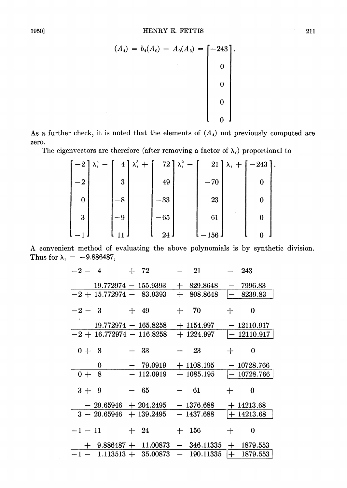$$
(A_4) = b_4(A_0) - A_0(A_3) = \begin{bmatrix} -243 \\ 0 \\ 0 \\ 0 \\ 0 \end{bmatrix}.
$$

As a further check, it is noted that the elements of  $(A_4)$  not previously computed are zero.

The eigenvectors are therefore (after removing a factor of  $\lambda_i$ ) proportional to

| $-2$ | $\lambda_i^4$ – |        | $4\lambda_i^3 +$ |       | 72 $\lambda_i^2$ – |                                | $21$ $\lambda_i + [-243]$ . |  |
|------|-----------------|--------|------------------|-------|--------------------|--------------------------------|-----------------------------|--|
| $-2$ |                 | 3      |                  | 49    |                    | $-70$                          |                             |  |
| 0    |                 | -8     |                  | $-33$ |                    | 23                             |                             |  |
| 3    |                 | $-9$ . |                  | $-65$ |                    | 61                             |                             |  |
|      |                 |        |                  | 24    |                    | $-156\,$ $\textbf{\textit{i}}$ |                             |  |

A convenient method of evaluating the above polynomials is by synthetic division. Thus for  $\lambda_1 = -9.886487$ ,

| $-2 - 4$                | $+$ 72                 | 21            |        | 243           |
|-------------------------|------------------------|---------------|--------|---------------|
| $19.772974 - 155.9393$  |                        | $+$ 829.8648  |        | $-7996.83$    |
| $-2+15.772974-83.9393$  |                        | $+808.8648$   |        | $-8239.83$    |
| $-2 - 3$                | $+$ 49                 | $+$ 70        | $\div$ | $\bf{0}$      |
|                         | $19.772974 - 165.8258$ | $+1154.997$   |        | $-12110.917$  |
| $-2+16.772974-116.8258$ |                        | $+ 1224.997$  |        | $-12110.917$  |
| $0 + 8$                 | $-33$                  | - 23          | $+$    | 0             |
| 0                       | $-79.0919$             | $+1108.195$   |        | $-10728.766$  |
| 8<br>$0+$               | $-112.0919 + 1085.195$ |               |        | $ -10728.766$ |
| $3 + 9$                 | $-65$                  | 61            | $\div$ | 0             |
| $-29.65946 + 204.2495$  |                        | $-1376.688$   |        | $+14213.68$   |
| $3 - 20.65946$          | $+139.2495$            | $-1437.688$   |        | $+ 14213.68$  |
| $-1 - 11$               | $+24$                  | $+$ 156       | $+$    | 0             |
| $+$ 9.886487 + 11.00873 |                        | $-346.11335$  | $+$    | 1879.553      |
| $-1 - 1.113513 +$       | 35.00873               | $-$ 190.11335 | $ + $  | 1879.553      |